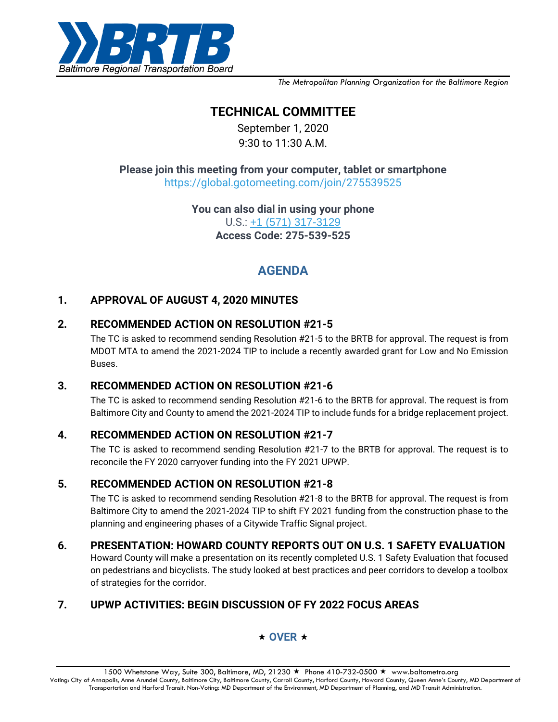

*The Metropolitan Planning Organization for the Baltimore Region*

# **TECHNICAL COMMITTEE**

September 1, 2020 9:30 to 11:30 A.M.

**Please join this meeting from your computer, tablet or smartphon[e](https://global.gotomeeting.com/join/142398157)** [https://global.gotomeeting.com/join/275539525](https://global.gotomeeting.com/join/142398157)

> **You can also dial in using your phone** U.S.: [+1 \(571\) 317-3129](tel:+15713173129,,275539525) **Access Code: 275-539-525**

# **AGENDA**

### **1. APPROVAL OF AUGUST 4, 2020 MINUTES**

#### **2. RECOMMENDED ACTION ON RESOLUTION #21-5**

The TC is asked to recommend sending Resolution #21-5 to the BRTB for approval. The request is from MDOT MTA to amend the 2021-2024 TIP to include a recently awarded grant for Low and No Emission Buses.

#### **3. RECOMMENDED ACTION ON RESOLUTION #21-6**

The TC is asked to recommend sending Resolution #21-6 to the BRTB for approval. The request is from Baltimore City and County to amend the 2021-2024 TIP to include funds for a bridge replacement project.

#### **4. RECOMMENDED ACTION ON RESOLUTION #21-7**

The TC is asked to recommend sending Resolution #21-7 to the BRTB for approval. The request is to reconcile the FY 2020 carryover funding into the FY 2021 UPWP.

#### **5. RECOMMENDED ACTION ON RESOLUTION #21-8**

The TC is asked to recommend sending Resolution #21-8 to the BRTB for approval. The request is from Baltimore City to amend the 2021-2024 TIP to shift FY 2021 funding from the construction phase to the planning and engineering phases of a Citywide Traffic Signal project.

#### **6. PRESENTATION: HOWARD COUNTY REPORTS OUT ON U.S. 1 SAFETY EVALUATION**

Howard County will make a presentation on its recently completed U.S. 1 Safety Evaluation that focused on pedestrians and bicyclists. The study looked at best practices and peer corridors to develop a toolbox of strategies for the corridor.

## **7. UPWP ACTIVITIES: BEGIN DISCUSSION OF FY 2022 FOCUS AREAS**

#### $\star$  OVER  $\star$